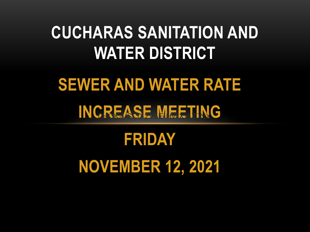#### **CUCHARAS SANITATION AND WATER DISTRICT**

# **SEWER AND WATER RATE** INCREASE MEETING

# **FRIDAY NOVEMBER 12, 2021**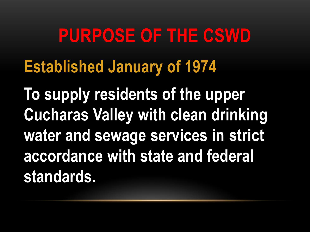# **PURPOSE OF THE CSWD Established January of 1974**

**To supply residents of the upper Cucharas Valley with clean drinking water and sewage services in strict accordance with state and federal standards.**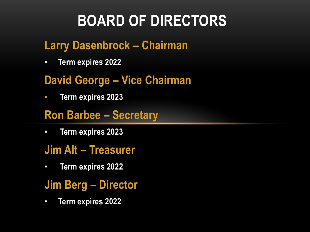#### **BOARD OF DIRECTORS**

#### **Larry Dasenbrock – Chairman**

• **Term expires 2022**

#### **David George – Vice Chairman**

• **Term expires 2023**

#### **Ron Barbee – Secretary**

• **Term expires 2023**

#### **Jim Alt – Treasurer**

- **Term expires 2022**
- **Jim Berg – Director**
- **Term expires 2022**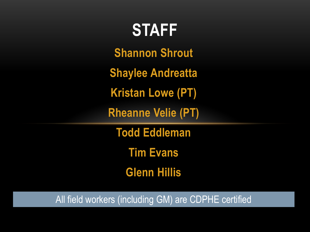## **Shannon Shrout STAFF**

**Shaylee Andreatta**

**Kristan Lowe (PT)**

**Rheanne Velie (PT)**

**Todd Eddleman**

**Tim Evans**

**Glenn Hillis**

All field workers (including GM) are CDPHE certified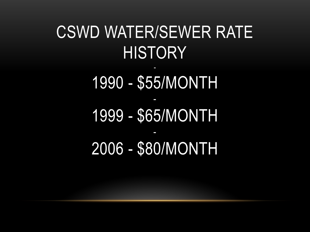#### CSWD WATER/SEWER RATE **HISTORY** -

1990 - \$55/MONTH - 1999 - \$65/MONTH - 2006 - \$80/MONTH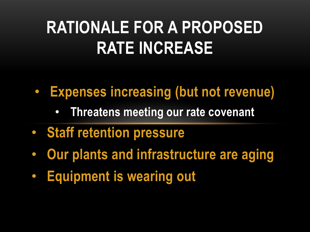### **RATIONALE FOR A PROPOSED RATE INCREASE**

- **Expenses increasing (but not revenue)**
	- **Threatens meeting our rate covenant**
- **Staff retention pressure**
- **Our plants and infrastructure are aging**
- **Equipment is wearing out**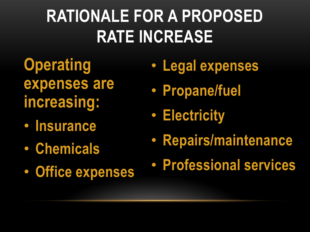## **RATIONALE FOR A PROPOSED RATE INCREASE**

- **Operating expenses are increasing:**
- **Insurance**
- **Chemicals**
- **Office expenses**
- **Legal expenses**
- **Propane/fuel**
- **Electricity**
- **Repairs/maintenance**
- **Professional services**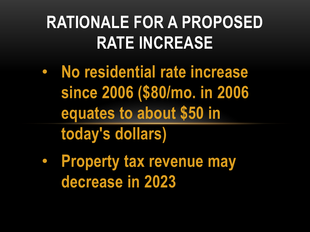### **RATIONALE FOR A PROPOSED RATE INCREASE**

- **No residential rate increase since 2006 (\$80/mo. in 2006 equates to about \$50 in today's dollars)**
- **Property tax revenue may decrease in 2023**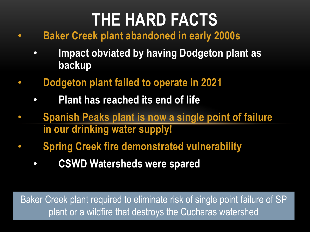#### **THE HARD FACTS**

- **Baker Creek plant abandoned in early 2000s**
	- **Impact obviated by having Dodgeton plant as backup**
- **Dodgeton plant failed to operate in 2021**
	- **Plant has reached its end of life**
- **Spanish Peaks plant is now a single point of failure in our drinking water supply!**
- **Spring Creek fire demonstrated vulnerability**
	- **CSWD Watersheds were spared**

Baker Creek plant required to eliminate risk of single point failure of SP plant or a wildfire that destroys the Cucharas watershed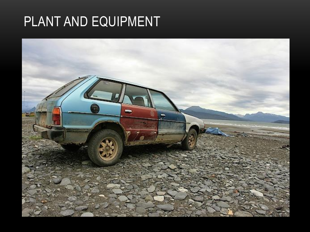#### PLANT AND EQUIPMENT

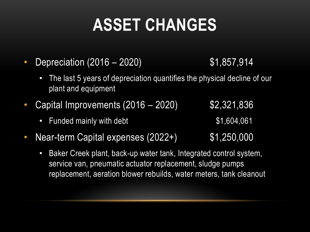## **ASSET CHANGES**

- Depreciation (2016 2020) \$1,857,914
	- The last 5 years of depreciation quantifies the physical decline of our plant and equipment
- Capital Improvements  $(2016 2020)$  \$2,321,836
	- Funded mainly with debt  $$1,604,061$
- Near-term Capital expenses (2022+) \$1,250,000
	- Baker Creek plant, back-up water tank, Integrated control system, service van, pneumatic actuator replacement, sludge pumps replacement, aeration blower rebuilds, water meters, tank cleanout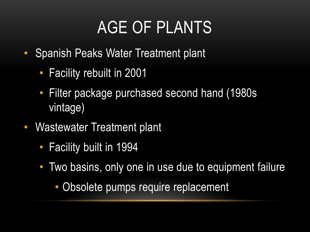#### AGE OF PLANTS

- Spanish Peaks Water Treatment plant
	- Facility rebuilt in 2001
	- Filter package purchased second hand (1980s) vintage)
- Wastewater Treatment plant
	- Facility built in 1994
	- Two basins, only one in use due to equipment failure
		- Obsolete pumps require replacement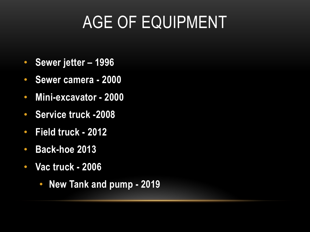## AGE OF EQUIPMENT

- **Sewer jetter – 1996**
- **Sewer camera - 2000**
- **Mini-excavator - 2000**
- **Service truck -2008**
- **Field truck - 2012**
- **Back-hoe 2013**
- **Vac truck - 2006**
	- **New Tank and pump - 2019**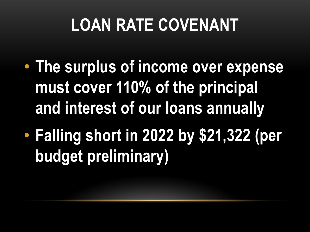## **LOAN RATE COVENANT**

- **The surplus of income over expense must cover 110% of the principal and interest of our loans annually**
- **Falling short in 2022 by \$21,322 (per budget preliminary)**